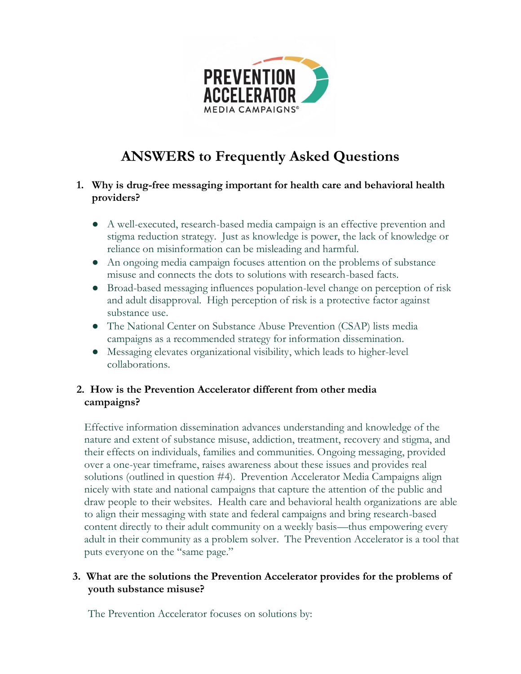

# **ANSWERS to Frequently Asked Questions**

## **1. Why is drug-free messaging important for health care and behavioral health providers?**

- A well-executed, research-based media campaign is an effective prevention and stigma reduction strategy. Just as knowledge is power, the lack of knowledge or reliance on misinformation can be misleading and harmful.
- An ongoing media campaign focuses attention on the problems of substance misuse and connects the dots to solutions with research-based facts.
- Broad-based messaging influences population-level change on perception of risk and adult disapproval. High perception of risk is a protective factor against substance use.
- The National Center on Substance Abuse Prevention (CSAP) lists media campaigns as a recommended strategy for information dissemination.
- Messaging elevates organizational visibility, which leads to higher-level collaborations.

## **2. How is the Prevention Accelerator different from other media campaigns?**

Effective information dissemination advances understanding and knowledge of the nature and extent of substance misuse, addiction, treatment, recovery and stigma, and their effects on individuals, families and communities. Ongoing messaging, provided over a one-year timeframe, raises awareness about these issues and provides real solutions (outlined in question #4). Prevention Accelerator Media Campaigns align nicely with state and national campaigns that capture the attention of the public and draw people to their websites. Health care and behavioral health organizations are able to align their messaging with state and federal campaigns and bring research-based content directly to their adult community on a weekly basis—thus empowering every adult in their community as a problem solver. The Prevention Accelerator is a tool that puts everyone on the "same page."

### **3. What are the solutions the Prevention Accelerator provides for the problems of youth substance misuse?**

The Prevention Accelerator focuses on solutions by: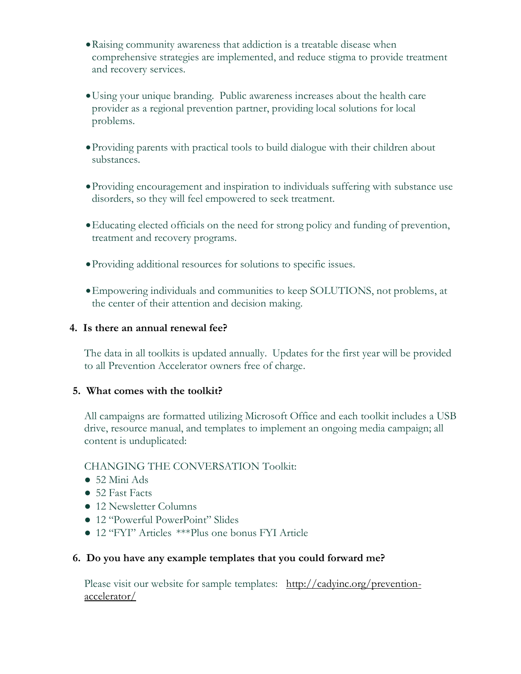- •Raising community awareness that addiction is a treatable disease when comprehensive strategies are implemented, and reduce stigma to provide treatment and recovery services.
- •Using your unique branding. Public awareness increases about the health care provider as a regional prevention partner, providing local solutions for local problems.
- •Providing parents with practical tools to build dialogue with their children about substances.
- •Providing encouragement and inspiration to individuals suffering with substance use disorders, so they will feel empowered to seek treatment.
- •Educating elected officials on the need for strong policy and funding of prevention, treatment and recovery programs.
- •Providing additional resources for solutions to specific issues.
- •Empowering individuals and communities to keep SOLUTIONS, not problems, at the center of their attention and decision making.

#### **4. Is there an annual renewal fee?**

The data in all toolkits is updated annually. Updates for the first year will be provided to all Prevention Accelerator owners free of charge.

#### **5. What comes with the toolkit?**

All campaigns are formatted utilizing Microsoft Office and each toolkit includes a USB drive, resource manual, and templates to implement an ongoing media campaign; all content is unduplicated:

#### CHANGING THE CONVERSATION Toolkit:

- $\bullet$  52 Mini Ads
- 52 Fast Facts
- 12 Newsletter Columns
- 12 "Powerful PowerPoint" Slides
- 12 "FYI" Articles \*\*\*Plus one bonus FYI Article

#### **6. Do you have any example templates that you could forward me?**

Please visit our website for sample templates: [http://cadyinc.org/prevention](http://cadyinc.org/prevention-accelerator/)[accelerator/](http://cadyinc.org/prevention-accelerator/)